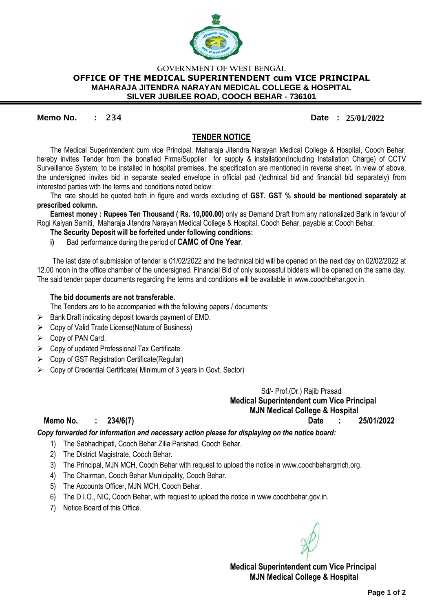

## **GOVERNMENT OF WEST BENGAL OFFICE OF THE MEDICAL SUPERINTENDENT cum VICE PRINCIPAL MAHARAJA JITENDRA NARAYAN MEDICAL COLLEGE & HOSPITAL SILVER JUBILEE ROAD, COOCH BEHAR - 736101**

## **Memo No. : 234 Date : 25/01/2022**

## **TENDER NOTICE**

The Medical Superintendent cum vice Principal, Maharaja Jitendra Narayan Medical College & Hospital, Cooch Behar, hereby invites Tender from the bonafied Firms/Supplier for supply & installation(Including Installation Charge) of CCTV Surveillance System, to be installed in hospital premises, the specification are mentioned in reverse sheet**.** In view of above, the undersigned invites bid in separate sealed envelope in official pad (technical bid and financial bid separately) from interested parties with the terms and conditions noted below:

The rate should be quoted both in figure and words excluding of **GST. GST % should be mentioned separately at prescribed column.**

**Earnest money : Rupees Ten Thousand ( Rs. 10,000.00)** only as Demand Draft from any nationalized Bank in favour of Rogi Kalyan Samiti, Maharaja Jitendra Narayan Medical College & Hospital, Cooch Behar, payable at Cooch Behar.

#### **The Security Deposit will be forfeited under following conditions:**

**i)** Bad performance during the period of **CAMC of One Year**.

The last date of submission of tender is 01/02/2022 and the technical bid will be opened on the next day on 02/02/2022 at 12.00 noon in the office chamber of the undersigned. Financial Bid of only successful bidders will be opened on the same day. The said tender paper documents regarding the terms and conditions will be available in www.coochbehar.gov.in.

#### **The bid documents are not transferable.**

The Tenders are to be accompanied with the following papers / documents:

- $\triangleright$  Bank Draft indicating deposit towards payment of EMD.
- Copy of Valid Trade License(Nature of Business)
- $\triangleright$  Copy of PAN Card.
- $\triangleright$  Copy of updated Professional Tax Certificate.
- $\triangleright$  Copy of GST Registration Certificate (Regular)
- $\triangleright$  Copy of Credential Certificate( Minimum of 3 years in Govt. Sector)

 Sd/- Prof.(Dr.) Rajib Prasad **Medical Superintendent cum Vice Principal MJN Medical College & Hospital**

**Memo No. : 234/6(7) Date : 25/01/2022**

*Copy forwarded for information and necessary action please for displaying on the notice board:*

- 1) The Sabhadhipati, Cooch Behar Zilla Parishad, Cooch Behar.
- 2) The District Magistrate, Cooch Behar.
- 3) The Principal, MJN MCH, Cooch Behar with request to upload the notice in www.coochbehargmch.org.
- 4) The Chairman, Cooch Behar Municipality, Cooch Behar.
- 5) The Accounts Officer, MJN MCH, Cooch Behar.
- 6) The D.I.O., NIC, Cooch Behar, with request to upload the notice in www.coochbehar.gov.in.
- 7) Notice Board of this Office.

**Medical Superintendent cum Vice Principal MJN Medical College & Hospital**